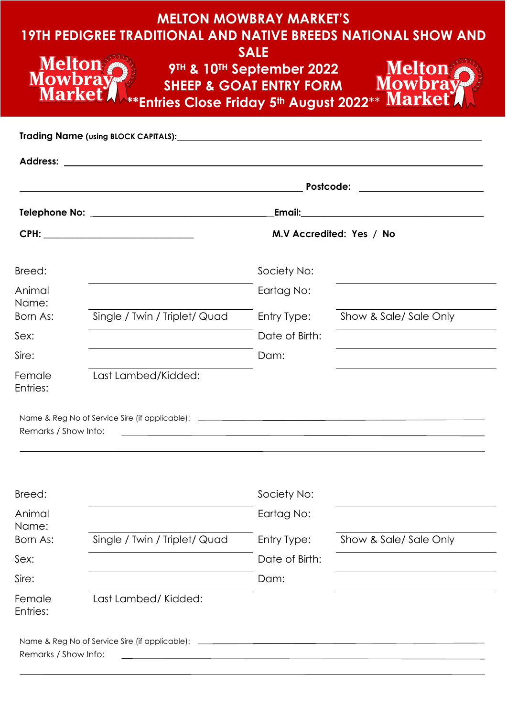| <b>MELTON MOWBRAY MARKET'S</b><br><b>19TH PEDIGREE TRADITIONAL AND NATIVE BREEDS NATIONAL SHOW AND</b><br><b>SALE</b><br>Melton<br>Mowbray<br>Melton<br>Mowbray<br>9TH & 10TH September 2022<br><b>SHEEP &amp; GOAT ENTRY FORM</b><br><b>Market</b><br><b>**Entries Close Friday 5th August 2022** Market</b> |                                                       |                |                       |  |  |
|---------------------------------------------------------------------------------------------------------------------------------------------------------------------------------------------------------------------------------------------------------------------------------------------------------------|-------------------------------------------------------|----------------|-----------------------|--|--|
|                                                                                                                                                                                                                                                                                                               |                                                       |                |                       |  |  |
|                                                                                                                                                                                                                                                                                                               | Postcode:                                             |                |                       |  |  |
|                                                                                                                                                                                                                                                                                                               |                                                       |                |                       |  |  |
|                                                                                                                                                                                                                                                                                                               | M.V Accredited: Yes / No                              |                |                       |  |  |
| Breed:                                                                                                                                                                                                                                                                                                        |                                                       | Society No:    |                       |  |  |
| Animal                                                                                                                                                                                                                                                                                                        |                                                       | Eartag No:     |                       |  |  |
| Name:<br>Born As:                                                                                                                                                                                                                                                                                             | Single / Twin / Triplet/ Quad                         | Entry Type:    | Show & Sale/Sale Only |  |  |
| Sex:                                                                                                                                                                                                                                                                                                          |                                                       | Date of Birth: |                       |  |  |
| Sire:                                                                                                                                                                                                                                                                                                         |                                                       | Dam:           |                       |  |  |
| Female<br>Entries:                                                                                                                                                                                                                                                                                            | Last Lambed/Kidded:                                   |                |                       |  |  |
| Remarks / Show Info:                                                                                                                                                                                                                                                                                          | <u> 1989 - Johann Stein, fransk politik (f. 1989)</u> |                |                       |  |  |
| Breed:                                                                                                                                                                                                                                                                                                        |                                                       | Society No:    |                       |  |  |
| Animal                                                                                                                                                                                                                                                                                                        |                                                       | Eartag No:     |                       |  |  |
| Name:<br>Born As:                                                                                                                                                                                                                                                                                             | Single / Twin / Triplet/ Quad                         | Entry Type:    | Show & Sale/Sale Only |  |  |
| Sex:                                                                                                                                                                                                                                                                                                          |                                                       | Date of Birth: |                       |  |  |
| Sire:                                                                                                                                                                                                                                                                                                         |                                                       | Dam:           |                       |  |  |
| Female<br>Entries:                                                                                                                                                                                                                                                                                            | Last Lambed/Kidded:                                   |                |                       |  |  |
| Remarks / Show Info:                                                                                                                                                                                                                                                                                          |                                                       |                |                       |  |  |